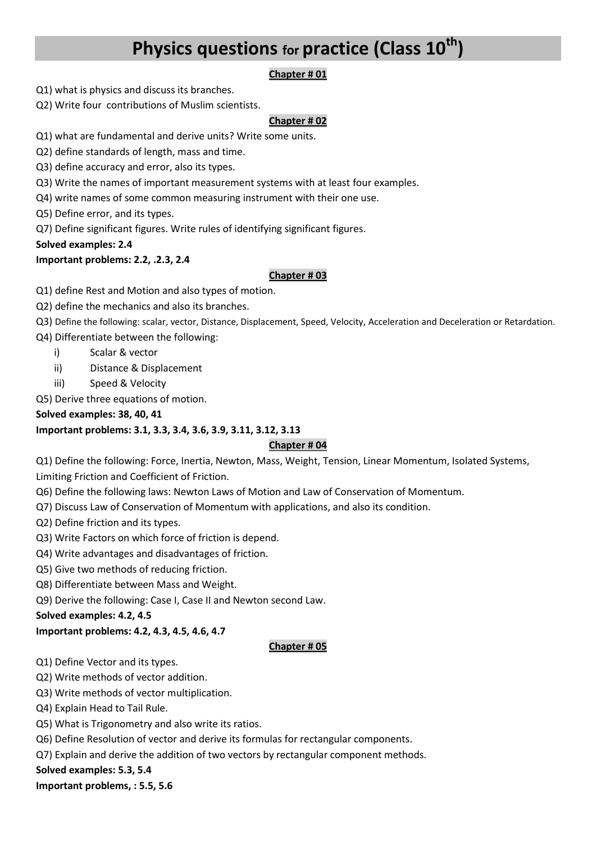# **Physics questions for practice (Class 10th)**

## **Chapter # 01**

- Q1) what is physics and discuss its branches.
- Q2) Write four contributions of Muslim scientists.

#### **Chapter # 02**

- Q1) what are fundamental and derive units? Write some units.
- Q2) define standards of length, mass and time.
- Q3) define accuracy and error, also its types.
- Q3) Write the names of important measurement systems with at least four examples.
- Q4) write names of some common measuring instrument with their one use.
- Q5) Define error, and its types.
- Q7) Define significant figures. Write rules of identifying significant figures.
- **Solved examples: 2.4**

### **Important problems: 2.2, .2.3, 2.4**

#### **Chapter # 03**

- Q1) define Rest and Motion and also types of motion.
- Q2) define the mechanics and also its branches.
- Q3) Define the following: scalar, vector, Distance, Displacement, Speed, Velocity, Acceleration and Deceleration or Retardation.
- Q4) Differentiate between the following:
	- i) Scalar & vector
	- ii) Distance & Displacement
	- iii) Speed & Velocity
- Q5) Derive three equations of motion.

#### **Solved examples: 38, 40, 41**

### **Important problems: 3.1, 3.3, 3.4, 3.6, 3.9, 3.11, 3.12, 3.13**

### **Chapter # 04**

Q1) Define the following: Force, Inertia, Newton, Mass, Weight, Tension, Linear Momentum, Isolated Systems, Limiting Friction and Coefficient of Friction.

- Q6) Define the following laws: Newton Laws of Motion and Law of Conservation of Momentum.
- Q7) Discuss Law of Conservation of Momentum with applications, and also its condition.
- Q2) Define friction and its types.
- Q3) Write Factors on which force of friction is depend.
- Q4) Write advantages and disadvantages of friction.
- Q5) Give two methods of reducing friction.
- Q8) Differentiate between Mass and Weight.
- Q9) Derive the following: Case I, Case II and Newton second Law.

**Solved examples: 4.2, 4.5** 

### **Important problems: 4.2, 4.3, 4.5, 4.6, 4.7**

#### **Chapter # 05**

- Q1) Define Vector and its types.
- Q2) Write methods of vector addition.
- Q3) Write methods of vector multiplication.
- Q4) Explain Head to Tail Rule.
- Q5) What is Trigonometry and also write its ratios.
- Q6) Define Resolution of vector and derive its formulas for rectangular components.
- Q7) Explain and derive the addition of two vectors by rectangular component methods.

#### **Solved examples: 5.3, 5.4**

**Important problems, : 5.5, 5.6**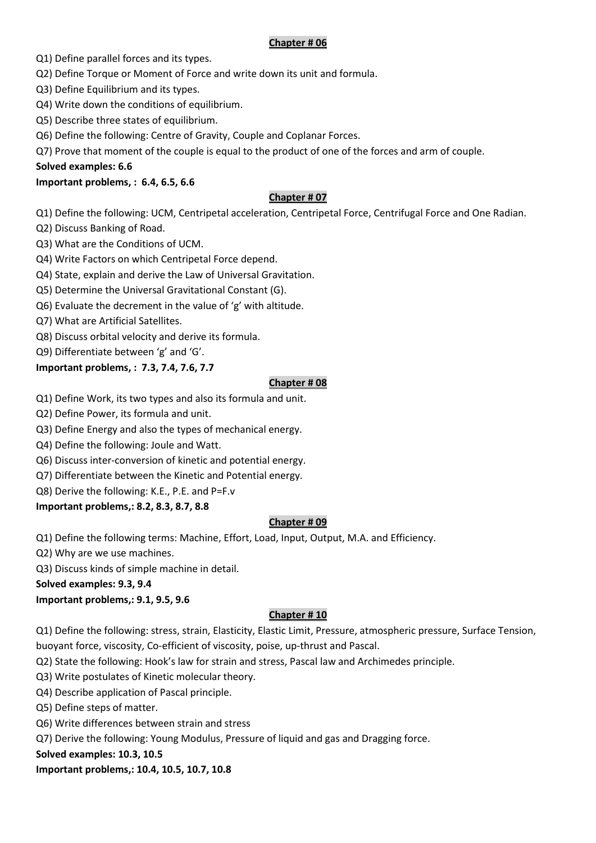#### **Chapter # 06**

Q1) Define parallel forces and its types.

- Q2) Define Torque or Moment of Force and write down its unit and formula.
- Q3) Define Equilibrium and its types.
- Q4) Write down the conditions of equilibrium.
- Q5) Describe three states of equilibrium.
- Q6) Define the following: Centre of Gravity, Couple and Coplanar Forces.
- Q7) Prove that moment of the couple is equal to the product of one of the forces and arm of couple.

#### **Solved examples: 6.6**

### **Important problems, : 6.4, 6.5, 6.6**

### **Chapter # 07**

Q1) Define the following: UCM, Centripetal acceleration, Centripetal Force, Centrifugal Force and One Radian.

- Q2) Discuss Banking of Road.
- Q3) What are the Conditions of UCM.
- Q4) Write Factors on which Centripetal Force depend.
- Q4) State, explain and derive the Law of Universal Gravitation.
- Q5) Determine the Universal Gravitational Constant (G).
- Q6) Evaluate the decrement in the value of 'g' with altitude.
- Q7) What are Artificial Satellites.
- Q8) Discuss orbital velocity and derive its formula.
- Q9) Differentiate between 'g' and 'G'.

## **Important problems, : 7.3, 7.4, 7.6, 7.7**

#### **Chapter # 08**

- Q1) Define Work, its two types and also its formula and unit.
- Q2) Define Power, its formula and unit.
- Q3) Define Energy and also the types of mechanical energy.
- Q4) Define the following: Joule and Watt.
- Q6) Discuss inter-conversion of kinetic and potential energy.
- Q7) Differentiate between the Kinetic and Potential energy.
- Q8) Derive the following: K.E., P.E. and P=F.v

### **Important problems,: 8.2, 8.3, 8.7, 8.8**

### **Chapter # 09**

Q1) Define the following terms: Machine, Effort, Load, Input, Output, M.A. and Efficiency.

- Q2) Why are we use machines.
- Q3) Discuss kinds of simple machine in detail.

**Solved examples: 9.3, 9.4** 

### **Important problems,: 9.1, 9.5, 9.6**

### **Chapter # 10**

Q1) Define the following: stress, strain, Elasticity, Elastic Limit, Pressure, atmospheric pressure, Surface Tension, buoyant force, viscosity, Co-efficient of viscosity, poise, up-thrust and Pascal.

- Q2) State the following: Hook's law for strain and stress, Pascal law and Archimedes principle.
- Q3) Write postulates of Kinetic molecular theory.
- Q4) Describe application of Pascal principle.
- Q5) Define steps of matter.
- Q6) Write differences between strain and stress
- Q7) Derive the following: Young Modulus, Pressure of liquid and gas and Dragging force.

### **Solved examples: 10.3, 10.5**

**Important problems,: 10.4, 10.5, 10.7, 10.8**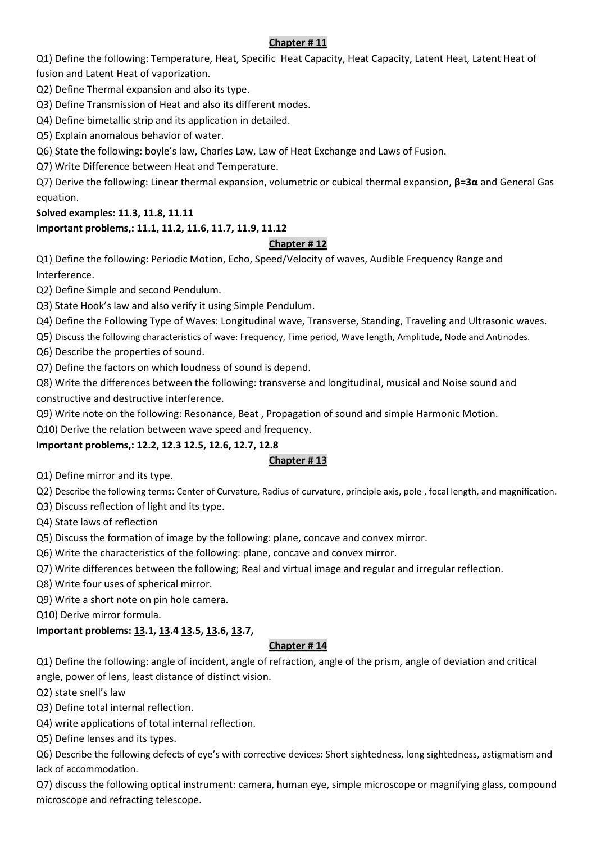## **Chapter # 11**

Q1) Define the following: Temperature, Heat, Specific Heat Capacity, Heat Capacity, Latent Heat, Latent Heat of fusion and Latent Heat of vaporization.

Q2) Define Thermal expansion and also its type.

Q3) Define Transmission of Heat and also its different modes.

Q4) Define bimetallic strip and its application in detailed.

Q5) Explain anomalous behavior of water.

Q6) State the following: boyle's law, Charles Law, Law of Heat Exchange and Laws of Fusion.

Q7) Write Difference between Heat and Temperature.

Q7) Derive the following: Linear thermal expansion, volumetric or cubical thermal expansion, **β=3α** and General Gas equation.

## **Solved examples: 11.3, 11.8, 11.11**

# **Important problems,: 11.1, 11.2, 11.6, 11.7, 11.9, 11.12**

## **Chapter # 12**

Q1) Define the following: Periodic Motion, Echo, Speed/Velocity of waves, Audible Frequency Range and Interference.

Q2) Define Simple and second Pendulum.

Q3) State Hook's law and also verify it using Simple Pendulum.

Q4) Define the Following Type of Waves: Longitudinal wave, Transverse, Standing, Traveling and Ultrasonic waves.

Q5) Discuss the following characteristics of wave: Frequency, Time period, Wave length, Amplitude, Node and Antinodes.

Q6) Describe the properties of sound.

Q7) Define the factors on which loudness of sound is depend.

Q8) Write the differences between the following: transverse and longitudinal, musical and Noise sound and constructive and destructive interference.

Q9) Write note on the following: Resonance, Beat , Propagation of sound and simple Harmonic Motion.

Q10) Derive the relation between wave speed and frequency.

# **Important problems,: 12.2, 12.3 12.5, 12.6, 12.7, 12.8**

# **Chapter # 13**

Q1) Define mirror and its type.

Q2) Describe the following terms: Center of Curvature, Radius of curvature, principle axis, pole , focal length, and magnification.

Q3) Discuss reflection of light and its type.

Q4) State laws of reflection

Q5) Discuss the formation of image by the following: plane, concave and convex mirror.

Q6) Write the characteristics of the following: plane, concave and convex mirror.

Q7) Write differences between the following; Real and virtual image and regular and irregular reflection.

Q8) Write four uses of spherical mirror.

Q9) Write a short note on pin hole camera.

Q10) Derive mirror formula.

# **Important problems: 13.1, 13.4 13.5, 13.6, 13.7,**

### **Chapter # 14**

Q1) Define the following: angle of incident, angle of refraction, angle of the prism, angle of deviation and critical angle, power of lens, least distance of distinct vision.

Q2) state snell's law

Q3) Define total internal reflection.

Q4) write applications of total internal reflection.

Q5) Define lenses and its types.

Q6) Describe the following defects of eye's with corrective devices: Short sightedness, long sightedness, astigmatism and lack of accommodation.

Q7) discuss the following optical instrument: camera, human eye, simple microscope or magnifying glass, compound microscope and refracting telescope.